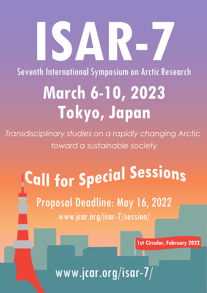# **ISAR-7**

Seventh International Symposium on Arctic Research

## **March 6-10, 2023 Tokyo, Japan**

*Transdisciplinary studies on a rapidly changing Arctic toward a sustainable society*

## Call for Special Sessions Proposal Deadline: May 16, 2022 www.jcar.org/isar-7/session/

**1st Circular, February 2022**

www.jcar.org/isar-7/